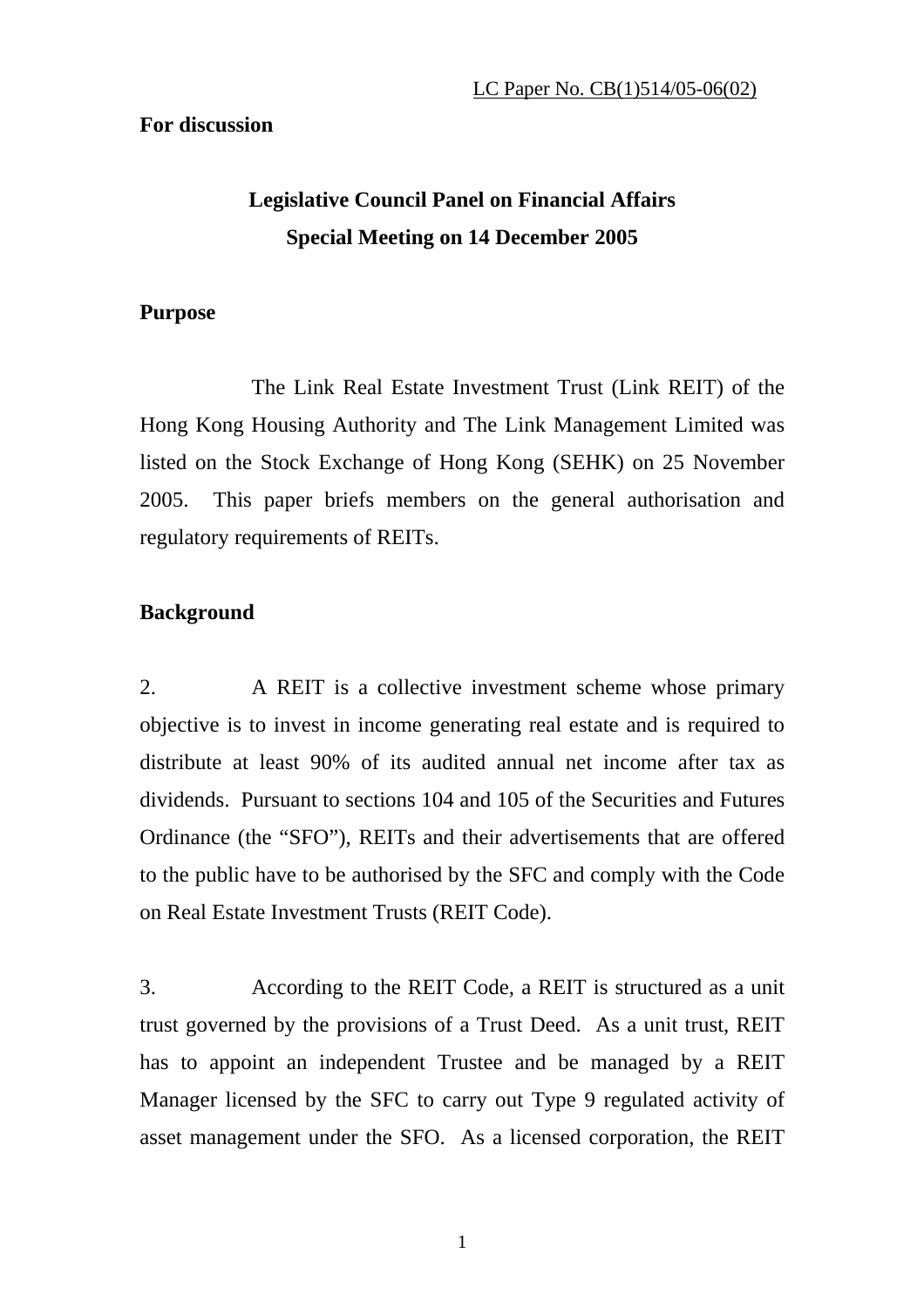## **For discussion**

# **Legislative Council Panel on Financial Affairs Special Meeting on 14 December 2005**

## **Purpose**

 The Link Real Estate Investment Trust (Link REIT) of the Hong Kong Housing Authority and The Link Management Limited was listed on the Stock Exchange of Hong Kong (SEHK) on 25 November 2005. This paper briefs members on the general authorisation and regulatory requirements of REITs.

# **Background**

2. A REIT is a collective investment scheme whose primary objective is to invest in income generating real estate and is required to distribute at least 90% of its audited annual net income after tax as dividends. Pursuant to sections 104 and 105 of the Securities and Futures Ordinance (the "SFO"), REITs and their advertisements that are offered to the public have to be authorised by the SFC and comply with the Code on Real Estate Investment Trusts (REIT Code).

3. According to the REIT Code, a REIT is structured as a unit trust governed by the provisions of a Trust Deed. As a unit trust, REIT has to appoint an independent Trustee and be managed by a REIT Manager licensed by the SFC to carry out Type 9 regulated activity of asset management under the SFO. As a licensed corporation, the REIT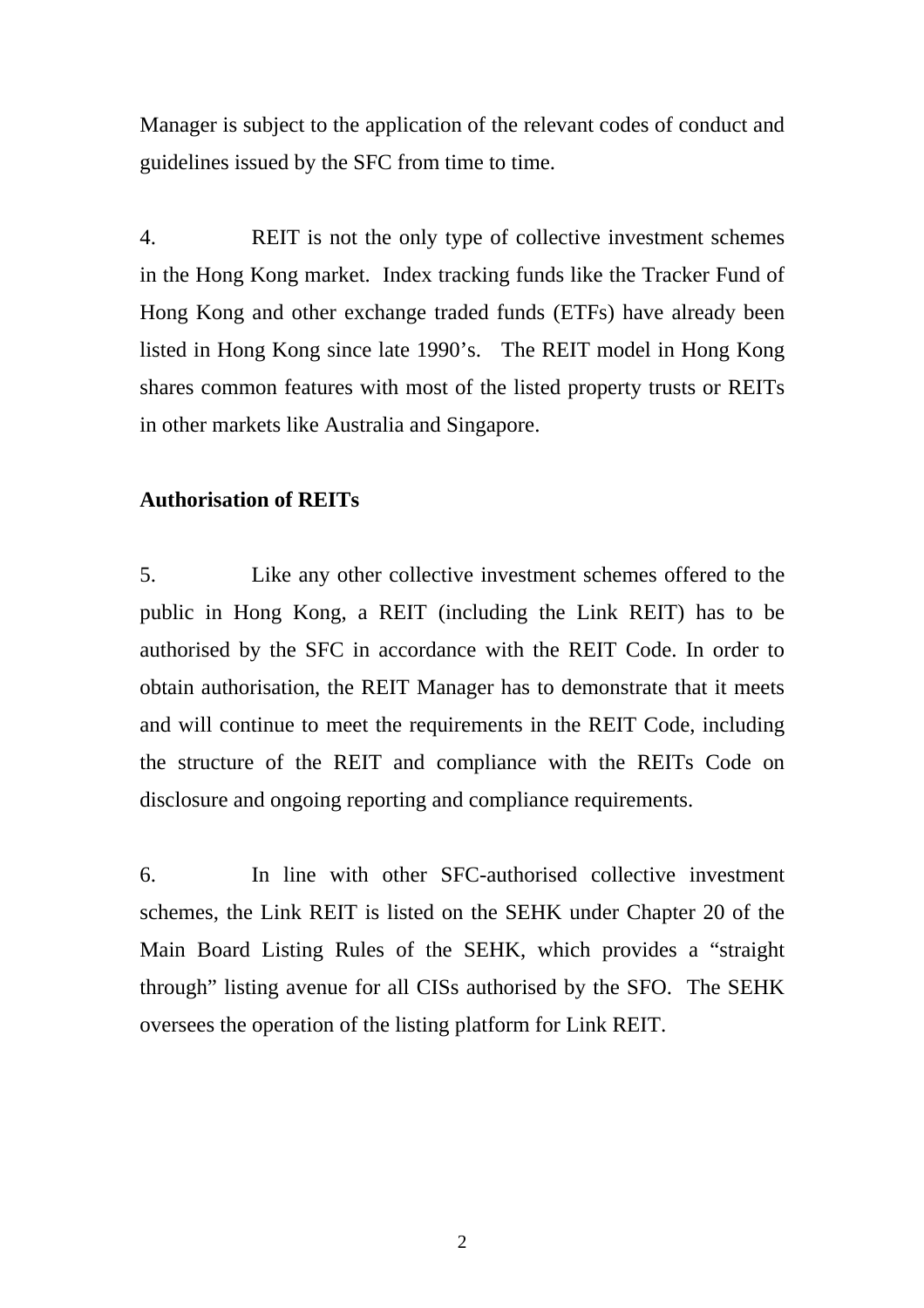Manager is subject to the application of the relevant codes of conduct and guidelines issued by the SFC from time to time.

4. REIT is not the only type of collective investment schemes in the Hong Kong market. Index tracking funds like the Tracker Fund of Hong Kong and other exchange traded funds (ETFs) have already been listed in Hong Kong since late 1990's. The REIT model in Hong Kong shares common features with most of the listed property trusts or REITs in other markets like Australia and Singapore.

### **Authorisation of REITs**

5. Like any other collective investment schemes offered to the public in Hong Kong, a REIT (including the Link REIT) has to be authorised by the SFC in accordance with the REIT Code. In order to obtain authorisation, the REIT Manager has to demonstrate that it meets and will continue to meet the requirements in the REIT Code, including the structure of the REIT and compliance with the REITs Code on disclosure and ongoing reporting and compliance requirements.

6. In line with other SFC-authorised collective investment schemes, the Link REIT is listed on the SEHK under Chapter 20 of the Main Board Listing Rules of the SEHK, which provides a "straight through" listing avenue for all CISs authorised by the SFO. The SEHK oversees the operation of the listing platform for Link REIT.

2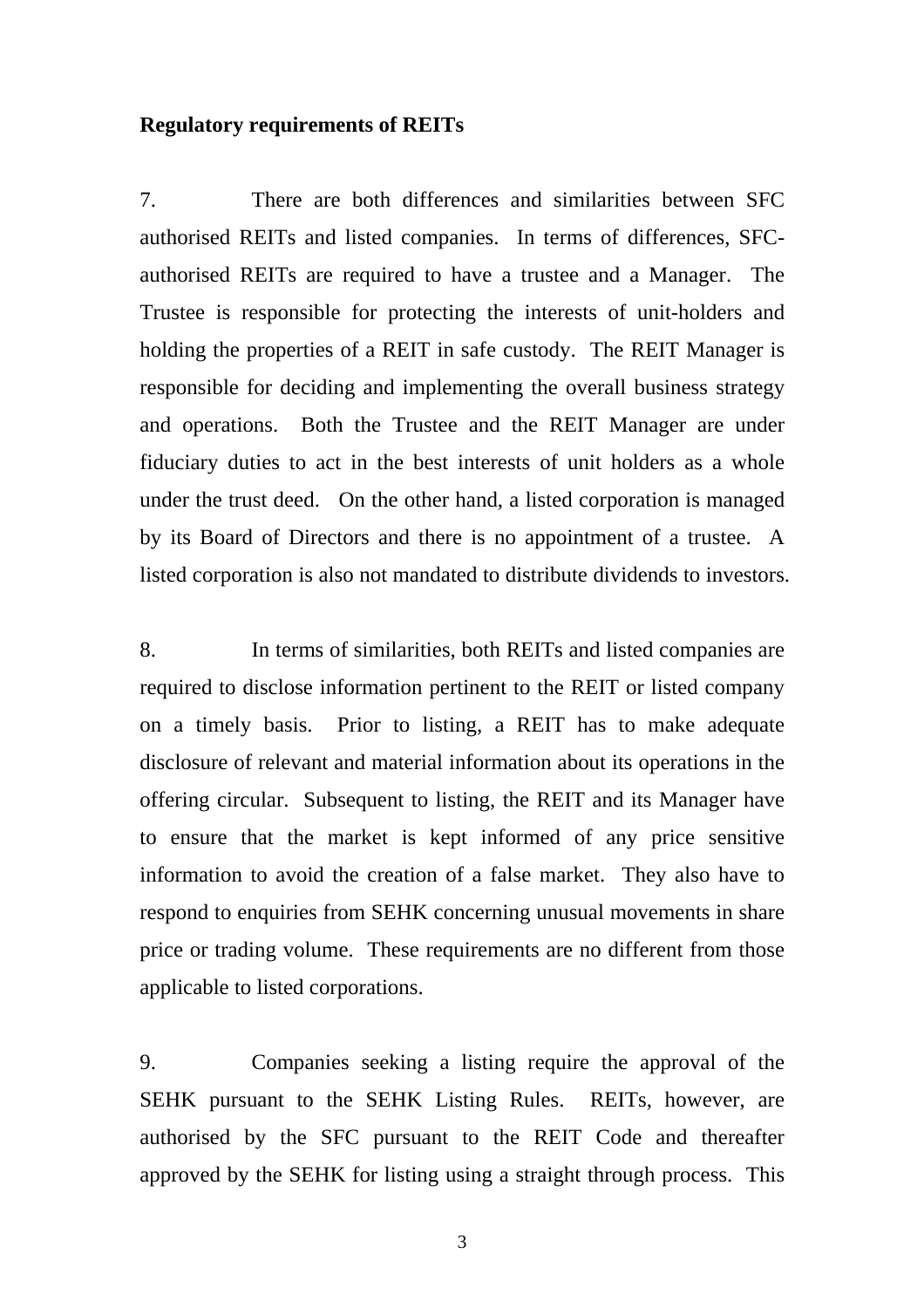#### **Regulatory requirements of REITs**

7. There are both differences and similarities between SFC authorised REITs and listed companies. In terms of differences, SFCauthorised REITs are required to have a trustee and a Manager. The Trustee is responsible for protecting the interests of unit-holders and holding the properties of a REIT in safe custody. The REIT Manager is responsible for deciding and implementing the overall business strategy and operations. Both the Trustee and the REIT Manager are under fiduciary duties to act in the best interests of unit holders as a whole under the trust deed. On the other hand, a listed corporation is managed by its Board of Directors and there is no appointment of a trustee. A listed corporation is also not mandated to distribute dividends to investors.

8. In terms of similarities, both REITs and listed companies are required to disclose information pertinent to the REIT or listed company on a timely basis. Prior to listing, a REIT has to make adequate disclosure of relevant and material information about its operations in the offering circular. Subsequent to listing, the REIT and its Manager have to ensure that the market is kept informed of any price sensitive information to avoid the creation of a false market. They also have to respond to enquiries from SEHK concerning unusual movements in share price or trading volume. These requirements are no different from those applicable to listed corporations.

9. Companies seeking a listing require the approval of the SEHK pursuant to the SEHK Listing Rules. REITs, however, are authorised by the SFC pursuant to the REIT Code and thereafter approved by the SEHK for listing using a straight through process. This

3